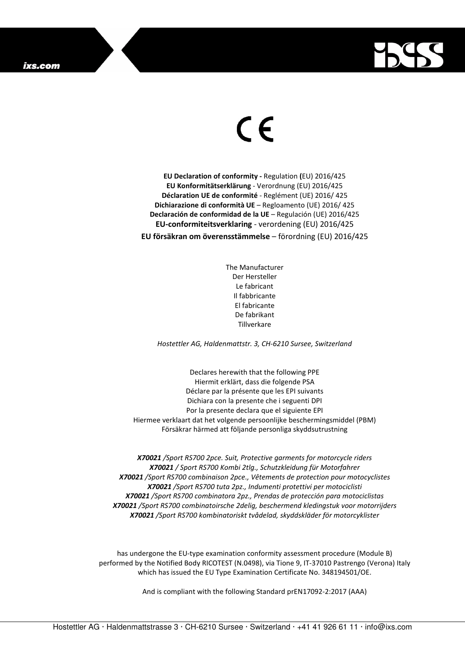

## $\in$

**EU Declaration of conformity -** Regulation **(**EU) 2016/425 **EU Konformitätserklärung** - Verordnung (EU) 2016/425 **Déclaration UE de conformité** - Reglément (UE) 2016/ 425 **Dichiarazione di conformità UE** – Regloamento (UE) 2016/ 425 **Declaración de conformidad de la UE** – Regulación (UE) 2016/425 **EU-conformiteitsverklaring** - verordening (EU) 2016/425 **EU försäkran om överensstämmelse** – förordning (EU) 2016/425

> The Manufacturer Der Hersteller Le fabricant Il fabbricante El fabricante De fabrikant **Tillverkare**

*Hostettler AG, Haldenmattstr. 3, CH-6210 Sursee, Switzerland* 

Declares herewith that the following PPE Hiermit erklärt, dass die folgende PSA Déclare par la présente que les EPI suivants Dichiara con la presente che i seguenti DPI Por la presente declara que el siguiente EPI Hiermee verklaart dat het volgende persoonlijke beschermingsmiddel (PBM) Försäkrar härmed att följande personliga skyddsutrustning

*X70021 /Sport RS700 2pce. Suit, Protective garments for motorcycle riders X70021 / Sport RS700 Kombi 2tlg., Schutzkleidung für Motorfahrer X70021 /Sport RS700 combinaison 2pce., Vêtements de protection pour motocyclistes X70021 /Sport RS700 tuta 2pz., Indumenti protettivi per motociclisti X70021 /Sport RS700 combinatora 2pz., Prendas de protección para motociclistas X70021 /Sport RS700 combinatoirsche 2delig, beschermend kledingstuk voor motorrijders X70021 /Sport RS700 kombinatoriskt tvådelad, skyddskläder för motorcyklister* 

has undergone the EU-type examination conformity assessment procedure (Module B) performed by the Notified Body RICOTEST (N.0498), via Tione 9, IT-37010 Pastrengo (Verona) Italy which has issued the EU Type Examination Certificate No. 348194501/OE.

And is compliant with the following Standard prEN17092-2:2017 (AAA)